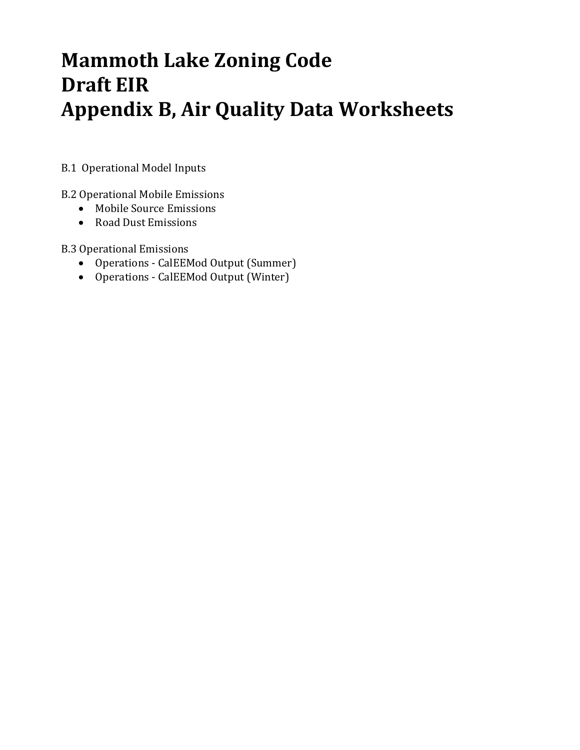# **Mammoth Lake Zoning Code Draft EIR Appendix B, Air Quality Data Worksheets**

B.1 Operational Model Inputs

B.2 Operational Mobile Emissions

- Mobile Source Emissions
- Road Dust Emissions

**B.3** Operational Emissions

- Operations CalEEMod Output (Summer)
- Operations CalEEMod Output (Winter)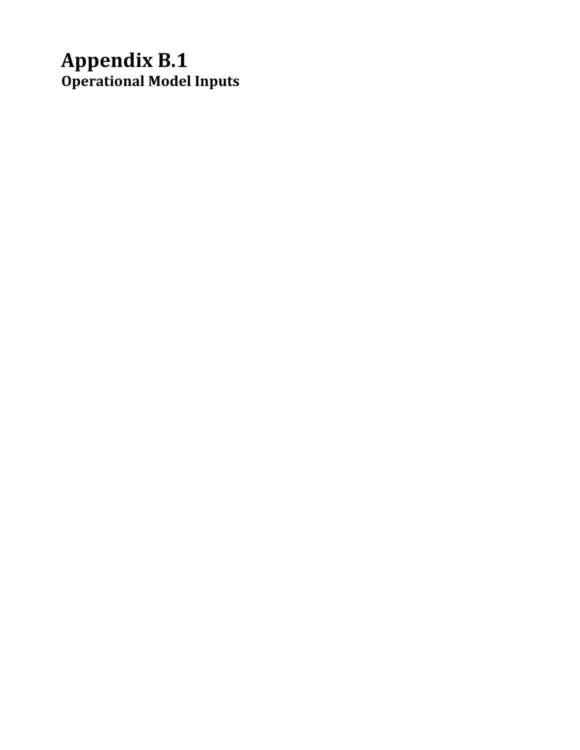# **Appendix B.1 Operational Model Inputs**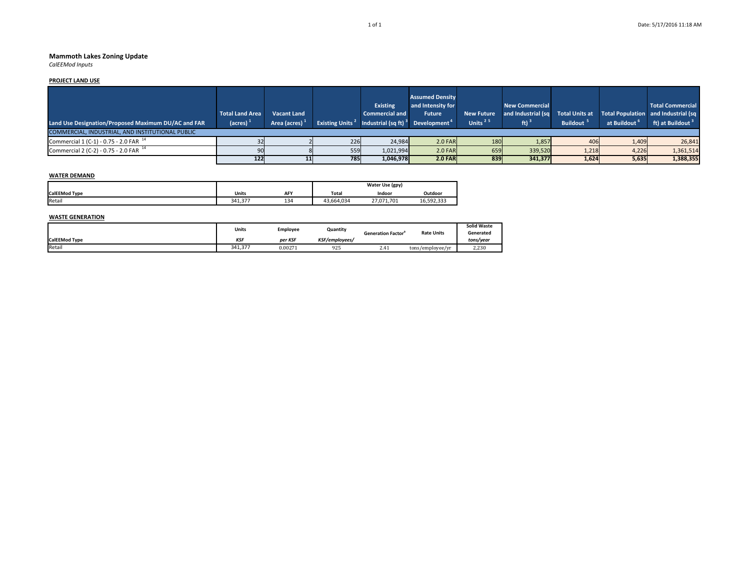#### **Mammoth Lakes Zoning Update**

*CalEEMod Inputs*

#### **PROJECT LAND USE**

| Land Use Designation/Proposed Maximum DU/AC and FAR | <b>Total Land Area</b><br>$\frac{1}{2}$ (acres) | <b>Vacant Land</b><br>Area (acres) $1$ | <b>Existing Units</b> <sup>2</sup> | <b>Existing</b><br><b>Commercial and</b><br>Industrial (sq ft) <sup>3</sup> Development <sup>4</sup> | <b>Assumed Density</b><br>and Intensity for<br><b>Future</b> | <b>New Future</b><br>Units $25$ | <b>New Commercial</b><br>and Industrial (sq | <b>Buildout</b> | at Buildout <sup>o</sup> | <b>Total Commercial</b><br>Total Units at Total Population and Industrial (sq<br>ft) at Buildout <sup>3</sup> |
|-----------------------------------------------------|-------------------------------------------------|----------------------------------------|------------------------------------|------------------------------------------------------------------------------------------------------|--------------------------------------------------------------|---------------------------------|---------------------------------------------|-----------------|--------------------------|---------------------------------------------------------------------------------------------------------------|
| COMMERCIAL, INDUSTRIAL, AND INSTITUTIONAL PUBLIC    |                                                 |                                        |                                    |                                                                                                      |                                                              |                                 |                                             |                 |                          |                                                                                                               |
| Commercial 1 (C-1) - 0.75 - 2.0 FAR $^{14}$         |                                                 |                                        | 226                                | 24,984                                                                                               | $2.0$ FAR                                                    | 180                             | 1,857                                       | 406             | 1,409                    | 26,841                                                                                                        |
| Commercial 2 (C-2) - 0.75 - 2.0 FAR $^{14}$         |                                                 |                                        | 559                                | 1,021,994                                                                                            | $2.0$ FAR                                                    | 659                             | 339,520                                     | 1,218           | 4,226                    | 1,361,514                                                                                                     |
|                                                     | 122                                             |                                        | <b>785</b>                         | 1.046.978                                                                                            | $2.0$ FAR                                                    | 839                             | 341.377                                     | 1,624           | 5,635                    | 1,388,355                                                                                                     |

#### **WATER DEMAND**

|                      |              |     | Water Use (gpy) |            |            |  |  |  |
|----------------------|--------------|-----|-----------------|------------|------------|--|--|--|
| <b>CalEEMod Type</b> | <b>Units</b> | AFY | <b>Total</b>    | Indoor     | Outdoor    |  |  |  |
| Retail               | 27<br>341.37 | 134 | 43.664.034      | 27.071.701 | 16.592.333 |  |  |  |

#### **WASTE GENERATION**

|                      | Units   | Employee | Quantity       | <b>Generation Factor</b> | <b>Rate Units</b> | <b>Solid Waste</b><br>Generated |
|----------------------|---------|----------|----------------|--------------------------|-------------------|---------------------------------|
| <b>CalEEMod Type</b> | KSI     | per KSF  | KSF/employees/ |                          |                   | tons/year                       |
| Retail               | 341.377 | 0.00271  | 925            | 2.41                     | tons/employee/yr  | 2,230                           |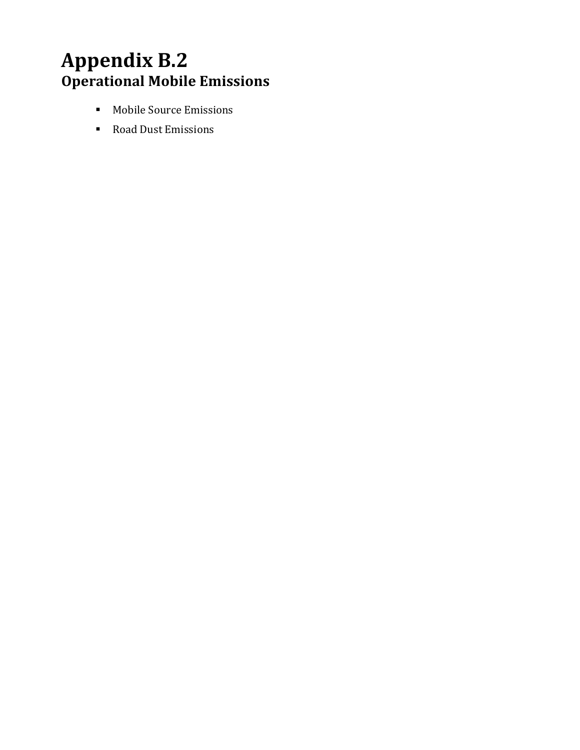# **Appendix B.2 Operational Mobile Emissions**

- **Mobile Source Emissions**
- Road Dust Emissions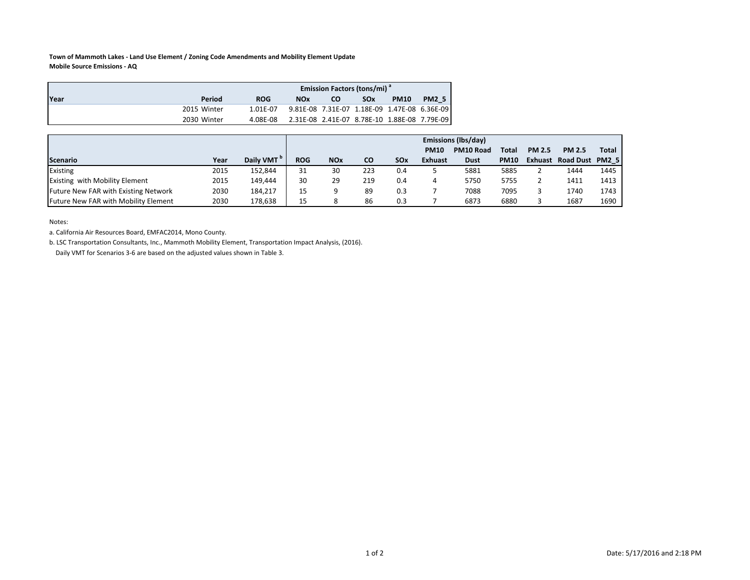#### **Town of Mammoth Lakes ‐ Land Use Element / Zoning Code Amendments and Mobility Element Update Mobile Source Emissions ‐ AQ**

|      |             | <b>Emission Factors (tons/mi)</b> <sup>a</sup> |                                              |    |                       |             |              |  |  |  |  |  |
|------|-------------|------------------------------------------------|----------------------------------------------|----|-----------------------|-------------|--------------|--|--|--|--|--|
| Year | Period      | <b>ROG</b>                                     | <b>NOx</b>                                   | CO | <b>SO<sub>x</sub></b> | <b>PM10</b> | <b>PM2 5</b> |  |  |  |  |  |
|      | 2015 Winter | 1.01F-07                                       |                                              |    |                       |             |              |  |  |  |  |  |
|      | 2030 Winter | 4.08E-08                                       | 2.31E-08 2.41E-07 8.78E-10 1.88E-08 7.79E-09 |    |                       |             |              |  |  |  |  |  |

|                                       |      |                        | <b>Emissions (Ibs/day)</b> |                       |           |     |                |             |              |               |                 |       |  |  |
|---------------------------------------|------|------------------------|----------------------------|-----------------------|-----------|-----|----------------|-------------|--------------|---------------|-----------------|-------|--|--|
|                                       |      |                        |                            |                       |           |     | <b>PM10</b>    | PM10 Road   | <b>Total</b> | <b>PM 2.5</b> | <b>PM 2.5</b>   | Total |  |  |
| Scenario                              | Year | Daily VMT <sup>P</sup> | <b>ROG</b>                 | <b>NO<sub>x</sub></b> | <b>CO</b> | SOx | <b>Exhuast</b> | <b>Dust</b> | <b>PM10</b>  | Exhuast       | Road Dust PM2 5 |       |  |  |
| Existing                              | 2015 | 152.844                | 31                         | 30                    | 223       | 0.4 |                | 5881        | 5885         |               | 1444            | 1445  |  |  |
| <b>Existing with Mobility Element</b> | 2015 | 149,444                | 30                         | 29                    | 219       | 0.4 | 4              | 5750        | 5755         |               | 1411            | 1413  |  |  |
| Future New FAR with Existing Network  | 2030 | 184.217                | 15                         |                       | 89        | 0.3 |                | 7088        | 7095         |               | 1740            | 1743  |  |  |
| Future New FAR with Mobility Element  | 2030 | 178.638                | 15                         |                       | 86        | 0.3 |                | 6873        | 6880         |               | 1687            | 1690  |  |  |

Notes:

a. California Air Resources Board, EMFAC2014, Mono County.

b. LSC Transportation Consultants, Inc., Mammoth Mobility Element, Transportation Impact Analysis, (2016).

Daily VMT for Scenarios 3‐6 are based on the adjusted values shown in Table 3.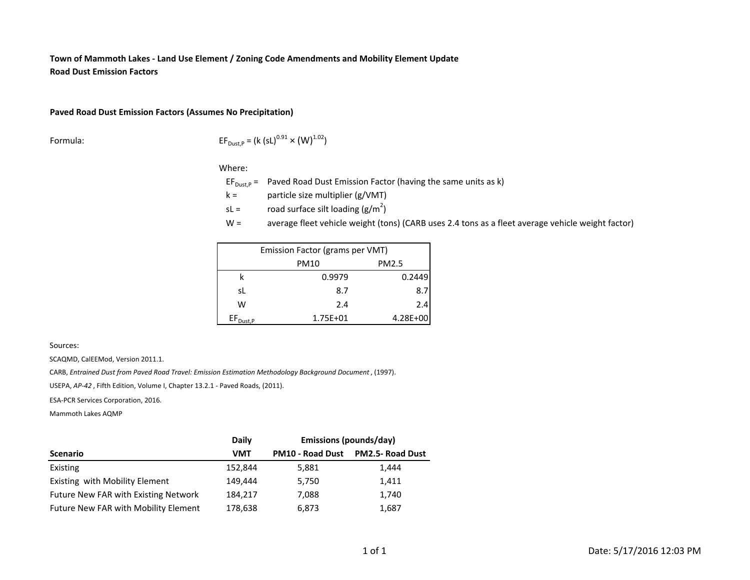#### **Town of Mammoth Lakes ‐ Land Use Element / Zoning Code Amendments and Mobility Element Update Road Dust Emission Factors**

#### **Paved Road Dust Emission Factors (Assumes No Precipitation)**

Formula: 
$$
EF_{\text{Dust},P} = (k (sL)^{0.91} \times (W)^{1.02})
$$

Where:

 $EF_{\text{Dust},P} =$  Paved Road Dust Emission Factor (having the same units as k)

 $k =$ particle size multiplier (g/VMT)

- sL <sup>=</sup>road surface silt loading  $(g/m^2)$
- $W =$ average fleet vehicle weight (tons) (CARB uses 2.4 tons as a fleet average vehicle weight factor)

| Emission Factor (grams per VMT) |          |          |  |  |  |  |  |  |  |  |  |
|---------------------------------|----------|----------|--|--|--|--|--|--|--|--|--|
|                                 | PM10     | PM2.5    |  |  |  |  |  |  |  |  |  |
|                                 | 0.9979   | 0.2449   |  |  |  |  |  |  |  |  |  |
| sL                              | 8.7      | 8.7      |  |  |  |  |  |  |  |  |  |
| w                               | 2.4      | 2.4      |  |  |  |  |  |  |  |  |  |
| $\mathsf{EF}_{\mathsf{Dust,P}}$ | 1.75E+01 | 4.28E+00 |  |  |  |  |  |  |  |  |  |

Sources:

SCAQMD, CalEEMod, Version 2011.1.

CARB, *Entrained Dust from Paved Road Travel: Emission Estimation Methodology Background Document* , (1997).

USEPA, *AP‐42* , Fifth Edition, Volume I, Chapter 13.2.1 ‐ Paved Roads, (2011).

ESA‐PCR Services Corporation, 2016.

Mammoth Lakes AQMP

|                                             | <b>Daily</b> | <b>Emissions (pounds/day)</b> |                         |  |  |  |  |  |
|---------------------------------------------|--------------|-------------------------------|-------------------------|--|--|--|--|--|
| <b>Scenario</b>                             | VMT          | <b>PM10 - Road Dust</b>       | <b>PM2.5- Road Dust</b> |  |  |  |  |  |
| Existing                                    | 152,844      | 5,881                         | 1,444                   |  |  |  |  |  |
| Existing with Mobility Element              | 149.444      | 5.750                         | 1,411                   |  |  |  |  |  |
| Future New FAR with Existing Network        | 184.217      | 7,088                         | 1,740                   |  |  |  |  |  |
| <b>Future New FAR with Mobility Element</b> | 178,638      | 6,873                         | 1,687                   |  |  |  |  |  |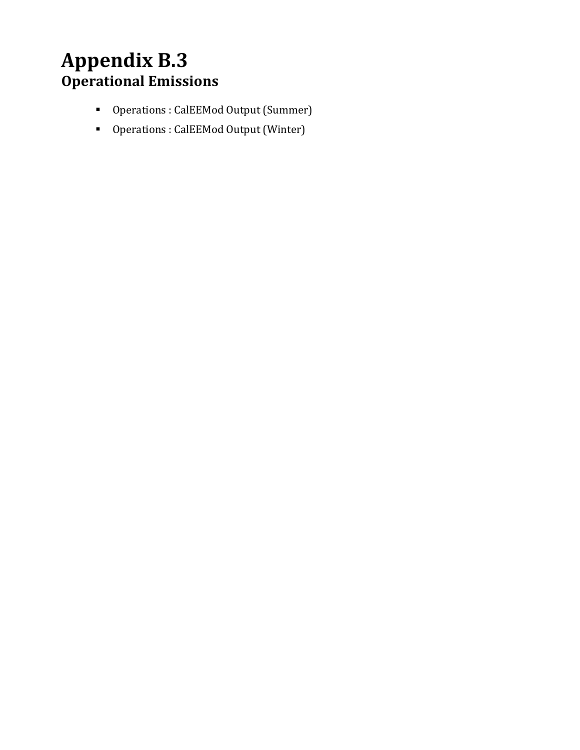# **Appendix B.3 Operational Emissions**

- Operations : CalEEMod Output (Summer)
- Operations : CalEEMod Output (Winter)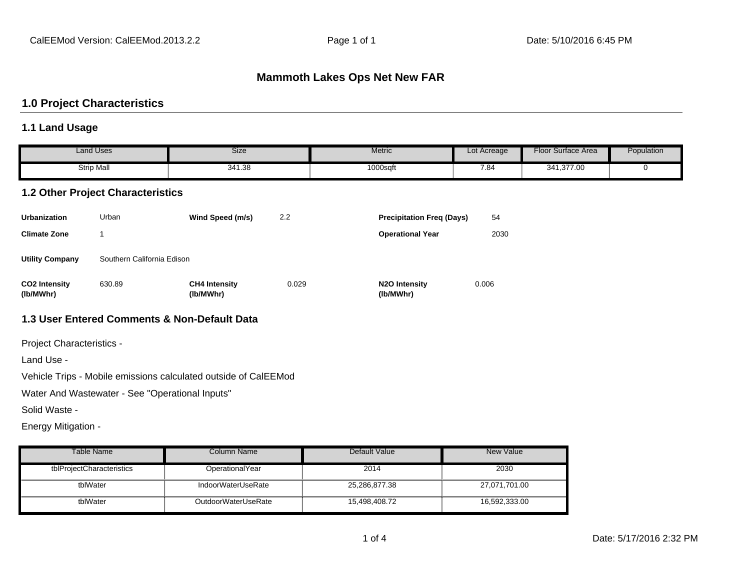### **Mammoth Lakes Ops Net New FAR**

#### **1.0 Project Characteristics**

#### **1.1 Land Usage**

|                                   | <b>Land Uses</b>                         | Size                                         |       | Metric                           | Lot Acreage | <b>Floor Surface Area</b> | Population  |
|-----------------------------------|------------------------------------------|----------------------------------------------|-------|----------------------------------|-------------|---------------------------|-------------|
|                                   | <b>Strip Mall</b>                        | 341.38                                       |       | 1000sqft                         | 7.84        | 341,377.00                | $\mathbf 0$ |
|                                   | <b>1.2 Other Project Characteristics</b> |                                              |       |                                  |             |                           |             |
| <b>Urbanization</b>               | Urban                                    | Wind Speed (m/s)                             | 2.2   | <b>Precipitation Freq (Days)</b> | 54          |                           |             |
| <b>Climate Zone</b>               | 1                                        |                                              |       | <b>Operational Year</b>          | 2030        |                           |             |
| <b>Utility Company</b>            | Southern California Edison               |                                              |       |                                  |             |                           |             |
| <b>CO2 Intensity</b><br>(lb/MWhr) | 630.89                                   | <b>CH4 Intensity</b><br>(lb/MWhr)            | 0.029 | N2O Intensity<br>(lb/MWhr)       | 0.006       |                           |             |
|                                   |                                          | 1.3 User Entered Comments & Non-Default Data |       |                                  |             |                           |             |

Project Characteristics -

Land Use -

Vehicle Trips - Mobile emissions calculated outside of CalEEMod

Water And Wastewater - See "Operational Inputs"

Solid Waste -

Energy Mitigation -

| Table Name                | Column Name         | Default Value | New Value     |
|---------------------------|---------------------|---------------|---------------|
| tblProjectCharacteristics | OperationalYear     | 2014          | 2030          |
| tblWater                  | IndoorWaterUseRate  | 25,286,877.38 | 27,071,701.00 |
| tblWater                  | OutdoorWaterUseRate | 15,498,408.72 | 16,592,333.00 |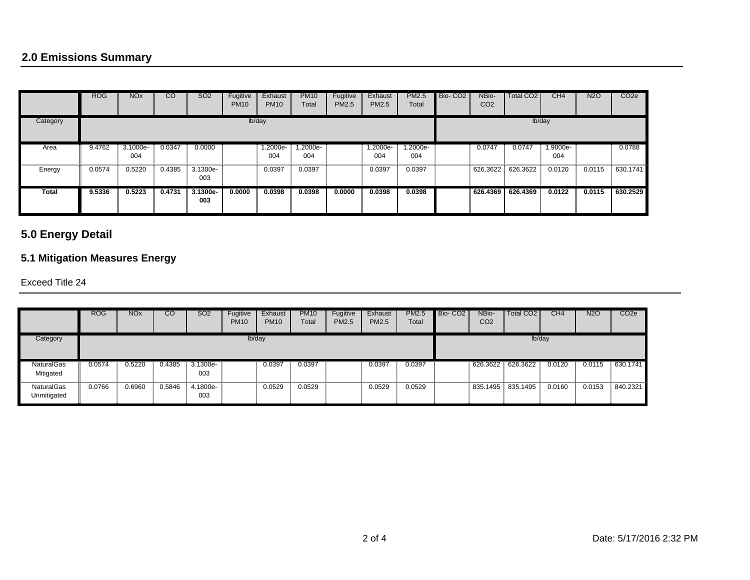# **2.0 Emissions Summary**

|          | <b>ROG</b> | <b>NO<sub>x</sub></b> | CO     | SO <sub>2</sub>   | Fugitive<br><b>PM10</b> | Exhaust<br><b>PM10</b> | <b>PM10</b><br>Total | Fugitive<br>PM2.5 | Exhaust<br><b>PM2.5</b> | PM2.5<br>Total | Bio-CO <sub>2</sub> | NBio-<br>CO <sub>2</sub> | Total CO <sub>2</sub> | CH <sub>4</sub> | N2O    | CO <sub>2e</sub> |
|----------|------------|-----------------------|--------|-------------------|-------------------------|------------------------|----------------------|-------------------|-------------------------|----------------|---------------------|--------------------------|-----------------------|-----------------|--------|------------------|
| Category | lb/day     |                       |        |                   |                         |                        |                      |                   |                         |                |                     |                          |                       | lb/day          |        |                  |
| Area     | 9.4762     | 3.1000e-              | 0.0347 | 0.0000            |                         | 1.2000e-               | 1.2000e-             |                   | 1.2000e-                | 1.2000e-       |                     | 0.0747                   | 0.0747                | 1.9000e-        |        | 0.0788           |
|          |            | 004                   |        |                   |                         | 004                    | 004                  |                   | 004                     | 004            |                     |                          |                       | 004             |        |                  |
| Energy   | 0.0574     | 0.5220                | 0.4385 | 3.1300e-<br>003   |                         | 0.0397                 | 0.0397               |                   | 0.0397                  | 0.0397         |                     | 626.3622                 | 626.3622              | 0.0120          | 0.0115 | 630.1741         |
| Total    | 9.5336     | 0.5223                | 0.4731 | $3.1300e-$<br>003 | 0.0000                  | 0.0398                 | 0.0398               | 0.0000            | 0.0398                  | 0.0398         |                     | 626.4369                 | 626.4369              | 0.0122          | 0.0115 | 630.2529         |

# **5.0 Energy Detail**

# **5.1 Mitigation Measures Energy**

#### Exceed Title 24

|                                | <b>ROG</b> | <b>NO<sub>x</sub></b> | CO     | SO <sub>2</sub> | Fugitive<br><b>PM10</b> | Exhaust<br><b>PM10</b> | <b>PM10</b><br>Total | Fugitive<br>PM2.5 | Exhaust<br><b>PM2.5</b> | <b>PM2.5</b><br>Total | Bio-CO <sub>2</sub> | NBio-<br>CO <sub>2</sub> | <b>Total CO2</b>  | CH4    | <b>N2O</b> | CO <sub>2e</sub> |
|--------------------------------|------------|-----------------------|--------|-----------------|-------------------------|------------------------|----------------------|-------------------|-------------------------|-----------------------|---------------------|--------------------------|-------------------|--------|------------|------------------|
| Category                       |            | lb/day                |        |                 |                         |                        |                      |                   |                         |                       |                     |                          | lb/day            |        |            |                  |
| <b>NaturalGas</b><br>Mitigated | 0.0574     | 0.5220                | 0.4385 | 3.1300e-<br>003 |                         | 0.0397                 | 0.0397               |                   | 0.0397                  | 0.0397                |                     |                          | 626.3622 626.3622 | 0.0120 | 0.0115     | 630.1741         |
| NaturalGas<br>Unmitigated      | 0.0766     | 0.6960                | 0.5846 | 4.1800e-<br>003 |                         | 0.0529                 | 0.0529               |                   | 0.0529                  | 0.0529                |                     |                          | 835.1495 835.1495 | 0.0160 | 0.0153     | 840.2321         |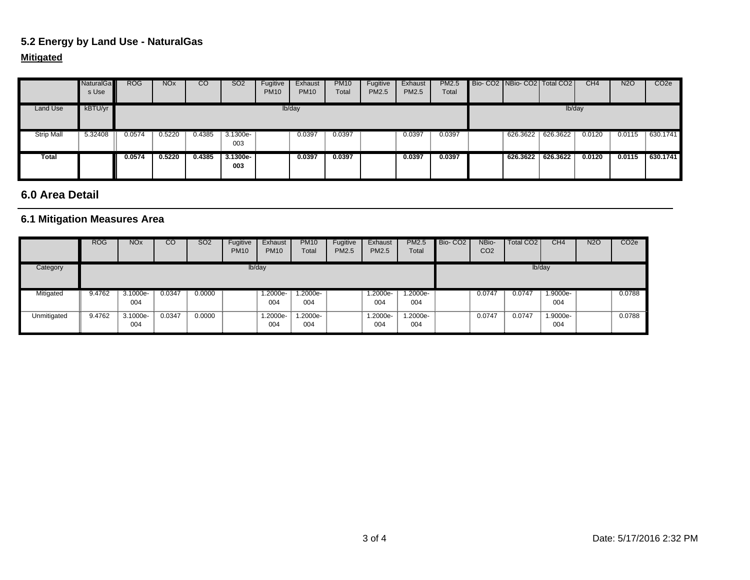## **5.2 Energy by Land Use - NaturalGas**

### **Mitigated**

|                   | <b>NaturalGa</b><br>s Use | <b>ROG</b> | NO <sub>x</sub> | CO     | SO <sub>2</sub>   | Fugitive<br><b>PM10</b> | Exhaust<br><b>PM10</b> | <b>PM10</b><br>Total | Fugitive<br>PM2.5 | Exhaust<br>PM2.5 | <b>PM2.5</b><br>Total | Bio- CO2   NBio- CO2   Total CO2 |          | CH <sub>4</sub> | <b>N2O</b> | CO <sub>2</sub> e |
|-------------------|---------------------------|------------|-----------------|--------|-------------------|-------------------------|------------------------|----------------------|-------------------|------------------|-----------------------|----------------------------------|----------|-----------------|------------|-------------------|
| Land Use          | kBTU/yr                   |            |                 |        |                   |                         | lb/day                 |                      |                   |                  |                       |                                  | lb/day   |                 |            |                   |
| <b>Strip Mall</b> | 5.32408                   | 0.0574     | 0.5220          | 0.4385 | 3.1300e-<br>003   |                         | 0.0397                 | 0.0397               |                   | 0.0397           | 0.0397                | 626.3622 626.3622                |          | 0.0120          | 0.0115     | 630.1741          |
| Total             |                           | 0.0574     | 0.5220          | 0.4385 | $3.1300e-$<br>003 |                         | 0.0397                 | 0.0397               |                   | 0.0397           | 0.0397                | 626.3622                         | 626.3622 | 0.0120          | 0.0115     | 630.1741          |

#### **6.0 Area Detail**

## **6.1 Mitigation Measures Area**

|             | <b>ROG</b> | <b>NO<sub>x</sub></b> | $\overline{c}$ | SO <sub>2</sub> | Fugitive<br><b>PM10</b> | Exhaust<br><b>PM10</b> | <b>PM10</b><br>Total | Fugitive<br>PM2.5 | Exhaust<br><b>PM2.5</b> | <b>PM2.5</b><br>Total | Bio-CO <sub>2</sub> | NBio-<br>CO <sub>2</sub> | Total CO <sub>2</sub> | CH4             | <b>N2O</b> | CO <sub>2e</sub> |
|-------------|------------|-----------------------|----------------|-----------------|-------------------------|------------------------|----------------------|-------------------|-------------------------|-----------------------|---------------------|--------------------------|-----------------------|-----------------|------------|------------------|
| Category    |            |                       |                |                 |                         | lb/day                 |                      |                   |                         |                       |                     |                          |                       | lb/day          |            |                  |
| Mitigated   | 9.4762     | $3.1000e-$<br>004     | 0.0347         | 0.0000          |                         | 1.2000e-<br>004        | .2000e-<br>004       |                   | 1.2000e-<br>004         | 1.2000e-<br>004       |                     | 0.0747                   | 0.0747                | 1.9000e-<br>004 |            | 0.0788           |
| Unmitigated | 9.4762     | 3.1000e-<br>004       | 0.0347         | 0.0000          |                         | 1.2000e-<br>004        | 1.2000e-<br>004      |                   | 1.2000e-<br>004         | 1.2000e-<br>004       |                     | 0.0747                   | 0.0747                | 1.9000e-<br>004 |            | 0.0788           |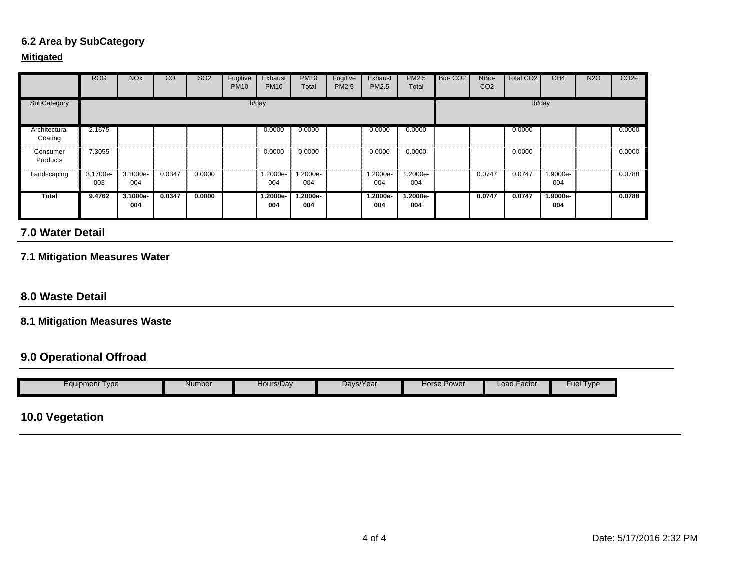## **6.2 Area by SubCategory**

#### **Mitigated**

|                          | <b>ROG</b>      | <b>NO<sub>x</sub></b> | CO     | SO <sub>2</sub> | Fugitive<br><b>PM10</b> | Exhaust<br><b>PM10</b> | <b>PM10</b><br>Total | Fugitive<br><b>PM2.5</b> | Exhaust<br><b>PM2.5</b> | <b>PM2.5</b><br>Total | Bio-CO <sub>2</sub> | NBio-<br>CO <sub>2</sub> | Total CO2 | CH <sub>4</sub> | N <sub>2</sub> O | CO <sub>2e</sub> |
|--------------------------|-----------------|-----------------------|--------|-----------------|-------------------------|------------------------|----------------------|--------------------------|-------------------------|-----------------------|---------------------|--------------------------|-----------|-----------------|------------------|------------------|
| SubCategory              |                 |                       |        |                 |                         | lb/day                 |                      |                          |                         |                       |                     |                          |           | lb/day          |                  |                  |
| Architectural<br>Coating | 2.1675          |                       |        |                 |                         | 0.0000                 | 0.0000               |                          | 0.0000                  | 0.0000                |                     |                          | 0.0000    |                 |                  | 0.0000           |
| Consumer<br>Products     | 7.3055          |                       |        |                 |                         | 0.0000                 | 0.0000               |                          | 0.0000                  | 0.0000                |                     |                          | 0.0000    |                 |                  | 0.0000           |
| Landscaping              | 3.1700e-<br>003 | 3.1000e-<br>004       | 0.0347 | 0.0000          |                         | 1.2000e-<br>004        | 1.2000e-<br>004      |                          | 1.2000e-<br>004         | 1.2000e-<br>004       |                     | 0.0747                   | 0.0747    | 1.9000e-<br>004 |                  | 0.0788           |
| Total                    | 9.4762          | $3.1000e-$<br>004     | 0.0347 | 0.0000          |                         | 1.2000e-<br>004        | 1.2000e-<br>004      |                          | $1.2000e-$<br>004       | 1.2000e-<br>004       |                     | 0.0747                   | 0.0747    | 1.9000e-<br>004 |                  | 0.0788           |

## **7.0 Water Detail**

### **7.1 Mitigation Measures Water**

#### **8.0 Waste Detail**

#### **8.1 Mitigation Measures Waste**

### **9.0 Operational Offroad**

| Equipment Type | Number | Hours/Dav | Days/Year | Horse Power | Load Factor | Type<br>Fue |
|----------------|--------|-----------|-----------|-------------|-------------|-------------|

# **10.0 Vegetation**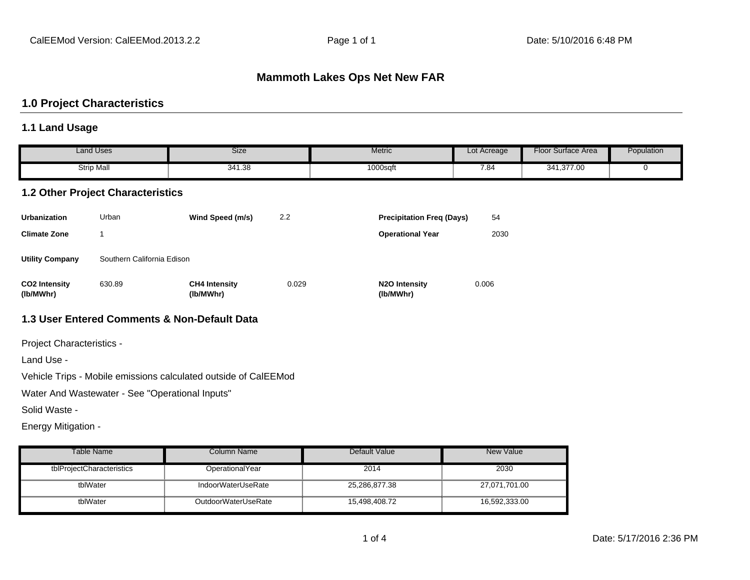#### **Mammoth Lakes Ops Net New FAR**

#### **1.0 Project Characteristics**

#### **1.1 Land Usage**

|                                   | <b>Land Uses</b>                         | Size                                         |       | Metric                            | Lot Acreage | Floor Surface Area | Population |
|-----------------------------------|------------------------------------------|----------------------------------------------|-------|-----------------------------------|-------------|--------------------|------------|
|                                   | <b>Strip Mall</b>                        | 341.38                                       |       | 1000sqft                          | 7.84        | 341,377.00         | $\Omega$   |
|                                   | <b>1.2 Other Project Characteristics</b> |                                              |       |                                   |             |                    |            |
| <b>Urbanization</b>               | Urban                                    | Wind Speed (m/s)                             | 2.2   | <b>Precipitation Freg (Days)</b>  | 54          |                    |            |
| <b>Climate Zone</b>               |                                          |                                              |       | <b>Operational Year</b>           | 2030        |                    |            |
| <b>Utility Company</b>            | Southern California Edison               |                                              |       |                                   |             |                    |            |
| <b>CO2 Intensity</b><br>(lb/MWhr) | 630.89                                   | <b>CH4 Intensity</b><br>(lb/MWhr)            | 0.029 | <b>N2O Intensity</b><br>(lb/MWhr) | 0.006       |                    |            |
|                                   |                                          | 1.3 User Entered Comments & Non-Default Data |       |                                   |             |                    |            |

Project Characteristics -

Land Use -

Vehicle Trips - Mobile emissions calculated outside of CalEEMod

Water And Wastewater - See "Operational Inputs"

Solid Waste -

Energy Mitigation -

| Table Name                | Column Name         | Default Value | New Value     |
|---------------------------|---------------------|---------------|---------------|
| tblProjectCharacteristics | OperationalYear     | 2014          | 2030          |
| tblWater                  | IndoorWaterUseRate  | 25,286,877.38 | 27,071,701.00 |
| tblWater                  | OutdoorWaterUseRate | 15,498,408.72 | 16,592,333.00 |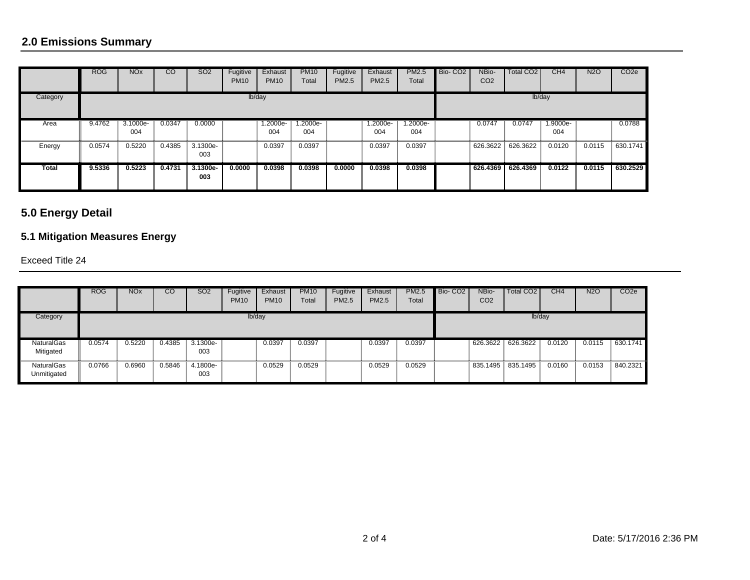|          | <b>ROG</b> | <b>NO<sub>x</sub></b> | $\overline{c}$ | <b>SO2</b>        | Fugitive<br><b>PM10</b> | Exhaust<br><b>PM10</b> | <b>PM10</b><br>Total | Fugitive<br>PM2.5 | Exhaust<br>PM2.5 | <b>PM2.5</b><br>Total | Bio-CO <sub>2</sub> | NBio-<br>CO <sub>2</sub> | Total CO <sub>2</sub> | CH4             | <b>N2O</b> | CO <sub>2e</sub> |
|----------|------------|-----------------------|----------------|-------------------|-------------------------|------------------------|----------------------|-------------------|------------------|-----------------------|---------------------|--------------------------|-----------------------|-----------------|------------|------------------|
| Category |            |                       |                |                   |                         | lb/day                 |                      |                   |                  |                       |                     |                          | lb/day                |                 |            |                  |
| Area     | 9.4762     | 3.1000e-<br>004       | 0.0347         | 0.0000            |                         | 1.2000e-<br>004        | 1.2000e-<br>004      |                   | 1.2000e-<br>004  | 1.2000e-<br>004       |                     | 0.0747                   | 0.0747                | 1.9000e-<br>004 |            | 0.0788           |
| Energy   | 0.0574     | 0.5220                | 0.4385         | 3.1300e-<br>003   |                         | 0.0397                 | 0.0397               |                   | 0.0397           | 0.0397                |                     |                          | 626.3622 626.3622     | 0.0120          | 0.0115     | 630.1741         |
| Total    | 9.5336     | 0.5223                | 0.4731         | $3.1300e-$<br>003 | 0.0000                  | 0.0398                 | 0.0398               | 0.0000            | 0.0398           | 0.0398                |                     | 626.4369                 | 626.4369              | 0.0122          | 0.0115     | 630.2529         |

# **5.0 Energy Detail**

# **5.1 Mitigation Measures Energy**

Exceed Title 24

|                                  | <b>ROG</b> | <b>NO<sub>x</sub></b> | CО     | SO <sub>2</sub>   | Fugitive<br><b>PM10</b> | Exhaust<br><b>PM10</b> | <b>PM10</b><br>Total | Fugitive<br>PM2.5 | Exhaust<br><b>PM2.5</b> | <b>PM2.5</b><br>Total | Bio-CO <sub>2</sub> | NBio-<br>CO <sub>2</sub> | Total CO <sub>2</sub> | CH4    | <b>N2O</b> | CO <sub>2e</sub> |
|----------------------------------|------------|-----------------------|--------|-------------------|-------------------------|------------------------|----------------------|-------------------|-------------------------|-----------------------|---------------------|--------------------------|-----------------------|--------|------------|------------------|
| Category                         |            |                       |        |                   | lb/day                  |                        |                      |                   |                         |                       |                     |                          |                       | lb/day |            |                  |
| <b>NaturalGas</b><br>Mitigated   | 0.0574     | 0.5220                | 0.4385 | $3.1300e-$<br>003 |                         | 0.0397                 | 0.0397               |                   | 0.0397                  | 0.0397                |                     | 626.3622                 | 626.3622              | 0.0120 | 0.0115     | 630.1741         |
| <b>NaturalGas</b><br>Unmitigated | 0.0766     | 0.6960                | 0.5846 | 4.1800e-<br>003   |                         | 0.0529                 | 0.0529               |                   | 0.0529                  | 0.0529                |                     | 835.1495                 | 835.1495              | 0.0160 | 0.0153     | 840.2321         |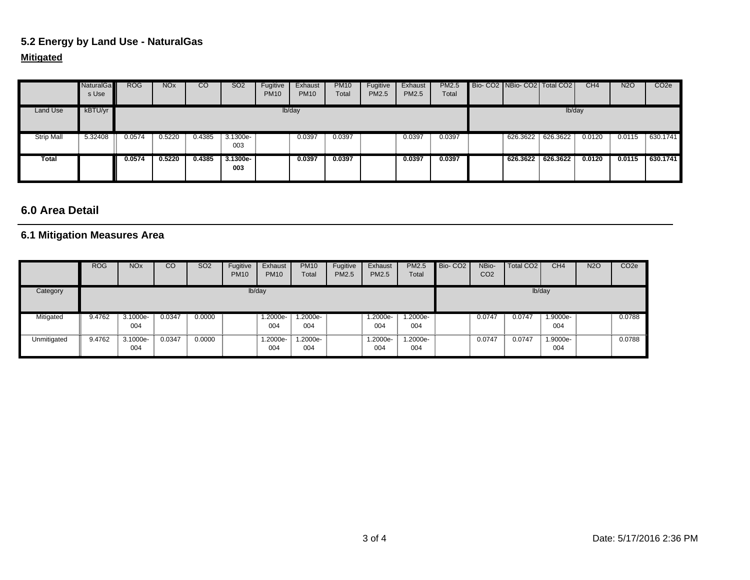## **5.2 Energy by Land Use - NaturalGas**

### **Mitigated**

|                   | <b>NaturalGa</b><br>s Use | <b>ROG</b> | <b>NO<sub>x</sub></b> | $\overline{c}$ | <b>SO2</b>      | Fugitive<br><b>PM10</b> | Exhaust<br><b>PM10</b> | <b>PM10</b><br>Total | Fugitive<br>PM2.5 | Exhaust<br><b>PM2.5</b> | PM2.5<br>Total | Bio-CO2 NBio-CO2 Total CO2 |          | CH4    | <b>N2O</b> | CO <sub>2</sub> e |
|-------------------|---------------------------|------------|-----------------------|----------------|-----------------|-------------------------|------------------------|----------------------|-------------------|-------------------------|----------------|----------------------------|----------|--------|------------|-------------------|
| Land Use          | kBTU/yr                   |            |                       |                |                 |                         | lb/day                 |                      |                   |                         |                |                            | lb/day   |        |            |                   |
| <b>Strip Mall</b> | 5.32408                   | 0.0574     | 0.5220                | 0.4385         | 3.1300e-<br>003 |                         | 0.0397                 | 0.0397               |                   | 0.0397                  | 0.0397         | 626.3622                   | 626.3622 | 0.0120 | 0.0115     | 630.1741          |
| Total             |                           | 0.0574     | 0.5220                | 0.4385         | 3.1300e-<br>003 |                         | 0.0397                 | 0.0397               |                   | 0.0397                  | 0.0397         | 626.3622 626.3622          |          | 0.0120 | 0.0115     | 630.1741          |

#### **6.0 Area Detail**

### **6.1 Mitigation Measures Area**

|             | <b>ROG</b> | <b>NO<sub>x</sub></b> | CO     | <b>SO2</b> | Fugitive<br><b>PM10</b> | Exhaust<br><b>PM10</b> | <b>PM10</b><br>Total | Fugitive<br>PM2.5 | Exhaust<br>PM2.5 | <b>PM2.5</b><br>Total | Bio-CO <sub>2</sub> | NBio-<br>CO <sub>2</sub> | Total CO <sub>2</sub> | CH4             | <b>N2O</b> | CO <sub>2e</sub> |
|-------------|------------|-----------------------|--------|------------|-------------------------|------------------------|----------------------|-------------------|------------------|-----------------------|---------------------|--------------------------|-----------------------|-----------------|------------|------------------|
| Category    |            |                       |        |            | lb/day                  |                        |                      |                   |                  |                       |                     |                          |                       | lb/day          |            |                  |
| Mitigated   | 9.4762     | $3.1000e-$<br>004     | 0.0347 | 0.0000     |                         | 1.2000e-<br>004        | $1.2000e-$<br>004    |                   | 1.2000e-<br>004  | $.2000e-$<br>004      |                     | 0.0747                   | 0.0747                | 1.9000e-<br>004 |            | 0.0788           |
| Unmitigated | 9.4762     | 3.1000e-<br>004       | 0.0347 | 0.0000     |                         | 1.2000e-<br>004        | 1.2000e-<br>004      |                   | 1.2000e-<br>004  | --2000e.l<br>004      |                     | 0.0747                   | 0.0747                | 1.9000e-<br>004 |            | 0.0788           |